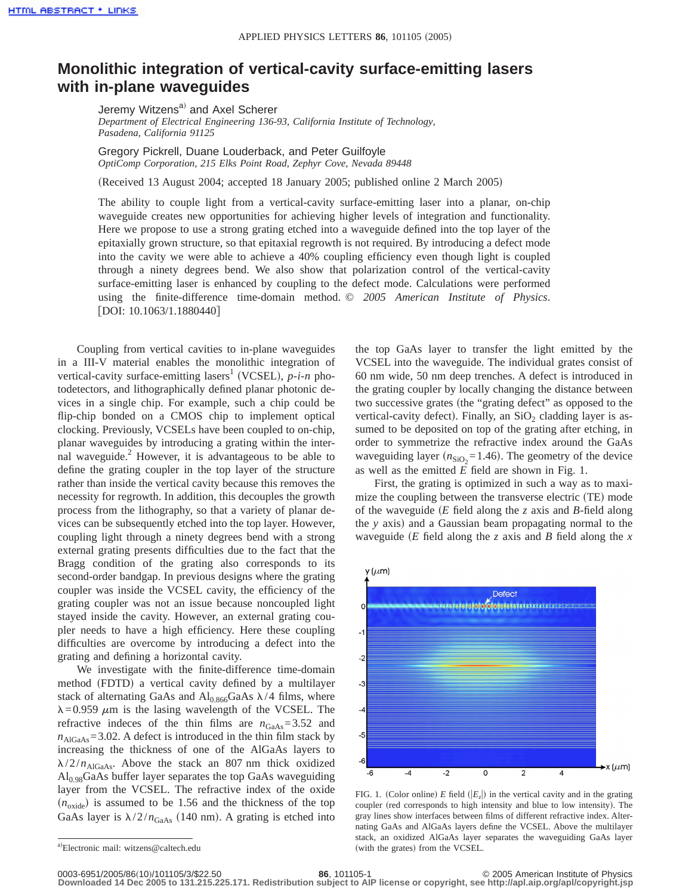## **Monolithic integration of vertical-cavity surface-emitting lasers with in-plane waveguides**

Jeremy Witzens<sup>a)</sup> and Axel Scherer

*Department of Electrical Engineering 136-93, California Institute of Technology, Pasadena, California 91125*

Gregory Pickrell, Duane Louderback, and Peter Guilfoyle *OptiComp Corporation, 215 Elks Point Road, Zephyr Cove, Nevada 89448*

(Received 13 August 2004; accepted 18 January 2005; published online  $2$  March 2005)

The ability to couple light from a vertical-cavity surface-emitting laser into a planar, on-chip waveguide creates new opportunities for achieving higher levels of integration and functionality. Here we propose to use a strong grating etched into a waveguide defined into the top layer of the epitaxially grown structure, so that epitaxial regrowth is not required. By introducing a defect mode into the cavity we were able to achieve a 40% coupling efficiency even though light is coupled through a ninety degrees bend. We also show that polarization control of the vertical-cavity surface-emitting laser is enhanced by coupling to the defect mode. Calculations were performed using the finite-difference time-domain method. © *2005 American Institute of Physics*.  $[$ DOI: 10.1063/1.1880440]

Coupling from vertical cavities to in-plane waveguides in a III-V material enables the monolithic integration of vertical-cavity surface-emitting lasers<sup>1</sup> (VCSEL), *p-i-n* photodetectors, and lithographically defined planar photonic devices in a single chip. For example, such a chip could be flip-chip bonded on a CMOS chip to implement optical clocking. Previously, VCSELs have been coupled to on-chip, planar waveguides by introducing a grating within the internal waveguide. $\frac{2}{3}$  However, it is advantageous to be able to define the grating coupler in the top layer of the structure rather than inside the vertical cavity because this removes the necessity for regrowth. In addition, this decouples the growth process from the lithography, so that a variety of planar devices can be subsequently etched into the top layer. However, coupling light through a ninety degrees bend with a strong external grating presents difficulties due to the fact that the Bragg condition of the grating also corresponds to its second-order bandgap. In previous designs where the grating coupler was inside the VCSEL cavity, the efficiency of the grating coupler was not an issue because noncoupled light stayed inside the cavity. However, an external grating coupler needs to have a high efficiency. Here these coupling difficulties are overcome by introducing a defect into the grating and defining a horizontal cavity.

We investigate with the finite-difference time-domain method (FDTD) a vertical cavity defined by a multilayer stack of alternating GaAs and  $Al<sub>0.866</sub>GaAs \lambda/4$  films, where  $\lambda$ =0.959  $\mu$ m is the lasing wavelength of the VCSEL. The refractive indeces of the thin films are  $n_{\text{GaAs}} = 3.52$  and  $n_{\text{AlGaAs}}$ =3.02. A defect is introduced in the thin film stack by increasing the thickness of one of the AlGaAs layers to  $\lambda/2/n_{\text{AlGaAs}}$ . Above the stack an 807 nm thick oxidized  $\text{Al}_{0.98}$ GaAs buffer layer separates the top GaAs waveguiding layer from the VCSEL. The refractive index of the oxide  $(n_{\text{oxide}})$  is assumed to be 1.56 and the thickness of the top GaAs layer is  $\lambda/2/n_{GaAs}$  (140 nm). A grating is etched into

First, the grating is optimized in such a way as to maximize the coupling between the transverse electric (TE) mode of the waveguide  $(E$  field along the  $z$  axis and  $B$ -field along the *y* axis) and a Gaussian beam propagating normal to the waveguide ( $E$  field along the  $\zeta$  axis and  $B$  field along the  $\zeta$ 



FIG. 1. (Color online) *E* field  $(E_z)$  in the vertical cavity and in the grating coupler (red corresponds to high intensity and blue to low intensity). The gray lines show interfaces between films of different refractive index. Alternating GaAs and AlGaAs layers define the VCSEL. Above the multilayer stack, an oxidized AlGaAs layer separates the waveguiding GaAs layer (with the grates) from the VCSEL.

the top GaAs layer to transfer the light emitted by the VCSEL into the waveguide. The individual grates consist of 60 nm wide, 50 nm deep trenches. A defect is introduced in the grating coupler by locally changing the distance between two successive grates (the "grating defect" as opposed to the vertical-cavity defect). Finally, an  $SiO<sub>2</sub>$  cladding layer is assumed to be deposited on top of the grating after etching, in order to symmetrize the refractive index around the GaAs waveguiding layer  $(n_{SiO_2} = 1.46)$ . The geometry of the device as well as the emitted  $\overline{E}$  field are shown in Fig. 1.

a)Electronic mail: witzens@caltech.edu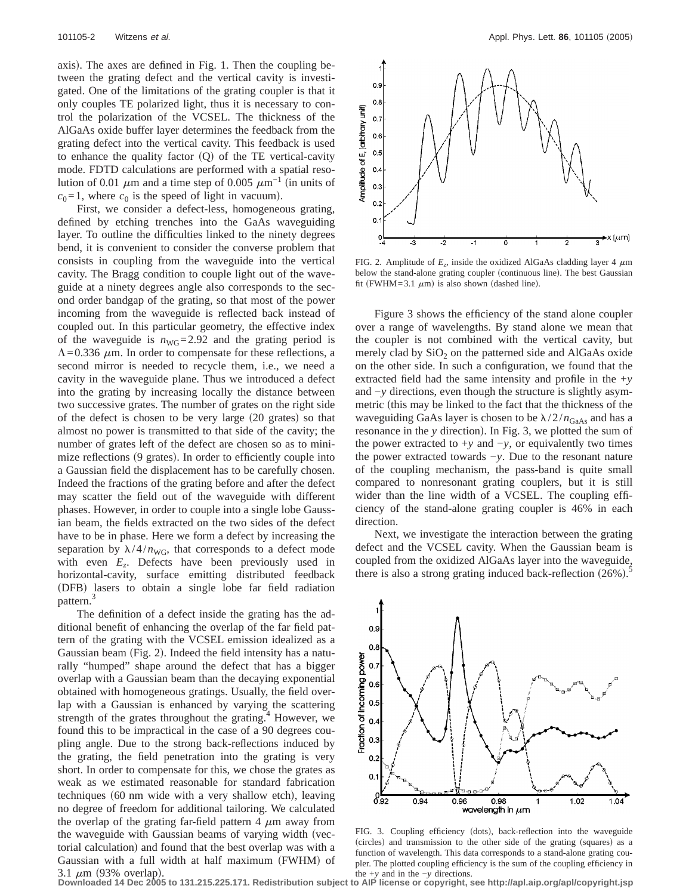axis). The axes are defined in Fig. 1. Then the coupling between the grating defect and the vertical cavity is investigated. One of the limitations of the grating coupler is that it only couples TE polarized light, thus it is necessary to control the polarization of the VCSEL. The thickness of the AlGaAs oxide buffer layer determines the feedback from the grating defect into the vertical cavity. This feedback is used to enhance the quality factor  $(Q)$  of the TE vertical-cavity mode. FDTD calculations are performed with a spatial resolution of 0.01  $\mu$ m and a time step of 0.005  $\mu$ m<sup>-1</sup> (in units of  $c_0$ =1, where  $c_0$  is the speed of light in vacuum).

First, we consider a defect-less, homogeneous grating, defined by etching trenches into the GaAs waveguiding layer. To outline the difficulties linked to the ninety degrees bend, it is convenient to consider the converse problem that consists in coupling from the waveguide into the vertical cavity. The Bragg condition to couple light out of the waveguide at a ninety degrees angle also corresponds to the second order bandgap of the grating, so that most of the power incoming from the waveguide is reflected back instead of coupled out. In this particular geometry, the effective index of the waveguide is  $n_{\text{WG}}=2.92$  and the grating period is  $\Lambda$ =0.336  $\mu$ m. In order to compensate for these reflections, a second mirror is needed to recycle them, i.e., we need a cavity in the waveguide plane. Thus we introduced a defect into the grating by increasing locally the distance between two successive grates. The number of grates on the right side of the defect is chosen to be very large  $(20 \text{ grades})$  so that almost no power is transmitted to that side of the cavity; the number of grates left of the defect are chosen so as to minimize reflections  $(9 \text{ grades})$ . In order to efficiently couple into a Gaussian field the displacement has to be carefully chosen. Indeed the fractions of the grating before and after the defect may scatter the field out of the waveguide with different phases. However, in order to couple into a single lobe Gaussian beam, the fields extracted on the two sides of the defect have to be in phase. Here we form a defect by increasing the separation by  $\lambda/4/n_{\text{WG}}$ , that corresponds to a defect mode with even *Ez*. Defects have been previously used in horizontal-cavity, surface emitting distributed feedback (DFB) lasers to obtain a single lobe far field radiation pattern.<sup>3</sup>

The definition of a defect inside the grating has the additional benefit of enhancing the overlap of the far field pattern of the grating with the VCSEL emission idealized as a Gaussian beam (Fig. 2). Indeed the field intensity has a naturally "humped" shape around the defect that has a bigger overlap with a Gaussian beam than the decaying exponential obtained with homogeneous gratings. Usually, the field overlap with a Gaussian is enhanced by varying the scattering strength of the grates throughout the grating. $4$  However, we found this to be impractical in the case of a 90 degrees coupling angle. Due to the strong back-reflections induced by the grating, the field penetration into the grating is very short. In order to compensate for this, we chose the grates as weak as we estimated reasonable for standard fabrication techniques (60 nm wide with a very shallow etch), leaving no degree of freedom for additional tailoring. We calculated the overlap of the grating far-field pattern 4  $\mu$ m away from the waveguide with Gaussian beams of varying width (vectorial calculation) and found that the best overlap was with a Gaussian with a full width at half maximum (FWHM) of 3.1  $\mu$ m (93% overlap)



FIG. 2. Amplitude of  $E_z$ , inside the oxidized AlGaAs cladding layer 4  $\mu$ m below the stand-alone grating coupler (continuous line). The best Gaussian fit (FWHM=3.1  $\mu$ m) is also shown (dashed line).

Figure 3 shows the efficiency of the stand alone coupler over a range of wavelengths. By stand alone we mean that the coupler is not combined with the vertical cavity, but merely clad by  $SiO<sub>2</sub>$  on the patterned side and AlGaAs oxide on the other side. In such a configuration, we found that the extracted field had the same intensity and profile in the +*y* and −*y* directions, even though the structure is slightly asymmetric (this may be linked to the fact that the thickness of the waveguiding GaAs layer is chosen to be  $\lambda/2/n_{\text{GaAs}}$  and has a resonance in the *y* direction). In Fig. 3, we plotted the sum of the power extracted to +*y* and  $-y$ , or equivalently two times the power extracted towards −*y*. Due to the resonant nature of the coupling mechanism, the pass-band is quite small compared to nonresonant grating couplers, but it is still wider than the line width of a VCSEL. The coupling efficiency of the stand-alone grating coupler is 46% in each direction.

Next, we investigate the interaction between the grating defect and the VCSEL cavity. When the Gaussian beam is coupled from the oxidized AlGaAs layer into the waveguide, there is also a strong grating induced back-reflection  $(26%)$ .<sup>5</sup>



FIG. 3. Coupling efficiency (dots), back-reflection into the waveguide (circles) and transmission to the other side of the grating (squares) as a function of wavelength. This data corresponds to a stand-alone grating coupler. The plotted coupling efficiency is the sum of the coupling efficiency in the +*y* and in the −*y* directions.

**Downloaded 14 Dec 2005 to 131.215.225.171. Redistribution subject to AIP license or copyright, see http://apl.aip.org/apl/copyright.jsp**